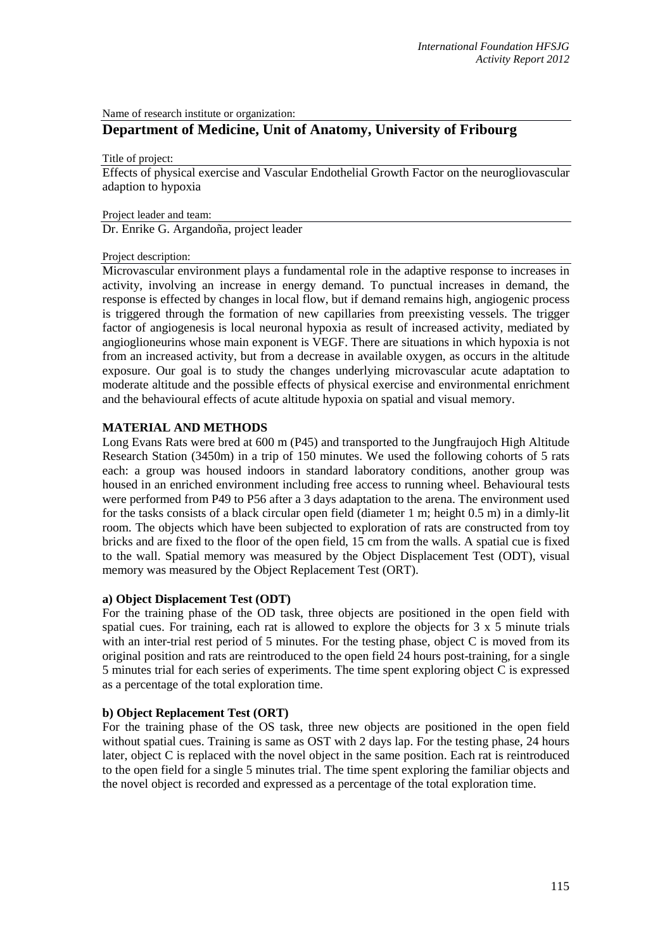Name of research institute or organization:

# **Department of Medicine, Unit of Anatomy, University of Fribourg**

Title of project:

Effects of physical exercise and Vascular Endothelial Growth Factor on the neurogliovascular adaption to hypoxia

Project leader and team:

Dr. Enrike G. Argandoña, project leader

#### Project description:

Microvascular environment plays a fundamental role in the adaptive response to increases in activity, involving an increase in energy demand. To punctual increases in demand, the response is effected by changes in local flow, but if demand remains high, angiogenic process is triggered through the formation of new capillaries from preexisting vessels. The trigger factor of angiogenesis is local neuronal hypoxia as result of increased activity, mediated by angioglioneurins whose main exponent is VEGF. There are situations in which hypoxia is not from an increased activity, but from a decrease in available oxygen, as occurs in the altitude exposure. Our goal is to study the changes underlying microvascular acute adaptation to moderate altitude and the possible effects of physical exercise and environmental enrichment and the behavioural effects of acute altitude hypoxia on spatial and visual memory.

## **MATERIAL AND METHODS**

Long Evans Rats were bred at 600 m (P45) and transported to the Jungfraujoch High Altitude Research Station (3450m) in a trip of 150 minutes. We used the following cohorts of 5 rats each: a group was housed indoors in standard laboratory conditions, another group was housed in an enriched environment including free access to running wheel. Behavioural tests were performed from P49 to P56 after a 3 days adaptation to the arena. The environment used for the tasks consists of a black circular open field (diameter 1 m; height 0.5 m) in a dimly-lit room. The objects which have been subjected to exploration of rats are constructed from toy bricks and are fixed to the floor of the open field, 15 cm from the walls. A spatial cue is fixed to the wall. Spatial memory was measured by the Object Displacement Test (ODT), visual memory was measured by the Object Replacement Test (ORT).

## **a) Object Displacement Test (ODT)**

For the training phase of the OD task, three objects are positioned in the open field with spatial cues. For training, each rat is allowed to explore the objects for 3 x 5 minute trials with an inter-trial rest period of 5 minutes. For the testing phase, object C is moved from its original position and rats are reintroduced to the open field 24 hours post-training, for a single 5 minutes trial for each series of experiments. The time spent exploring object C is expressed as a percentage of the total exploration time.

## **b) Object Replacement Test (ORT)**

For the training phase of the OS task, three new objects are positioned in the open field without spatial cues. Training is same as OST with 2 days lap. For the testing phase, 24 hours later, object C is replaced with the novel object in the same position. Each rat is reintroduced to the open field for a single 5 minutes trial. The time spent exploring the familiar objects and the novel object is recorded and expressed as a percentage of the total exploration time.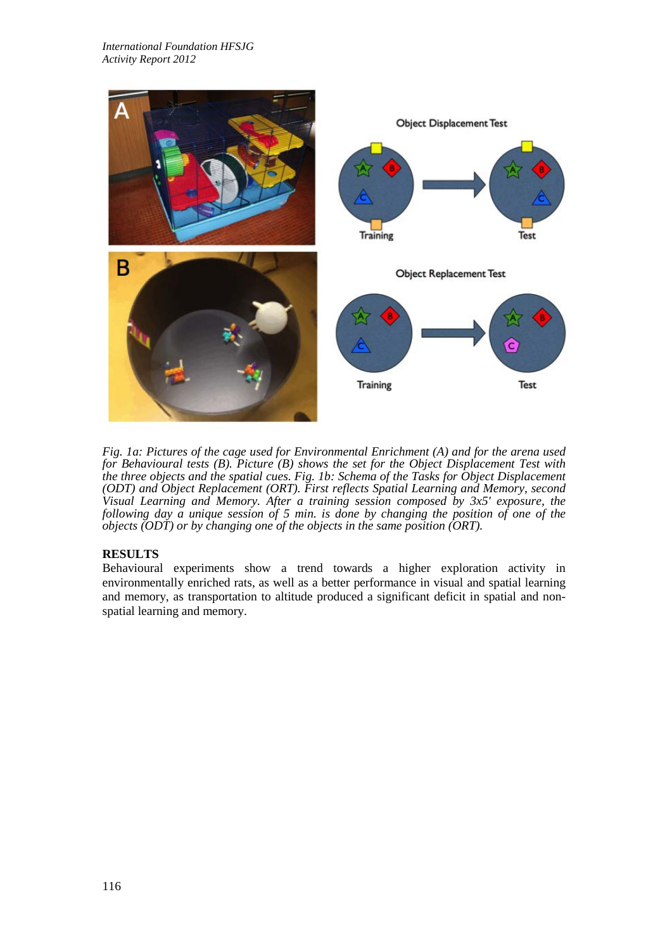

*Fig. 1a: Pictures of the cage used for Environmental Enrichment (A) and for the arena used for Behavioural tests (B). Picture (B) shows the set for the Object Displacement Test with the three objects and the spatial cues. Fig. 1b: Schema of the Tasks for Object Displacement (ODT) and Object Replacement (ORT). First reflects Spatial Learning and Memory, second Visual Learning and Memory. After a training session composed by 3x5' exposure, the following day a unique session of 5 min. is done by changing the position of one of the objects (ODT) or by changing one of the objects in the same position (ORT).*

## **RESULTS**

Behavioural experiments show a trend towards a higher exploration activity in environmentally enriched rats, as well as a better performance in visual and spatial learning and memory, as transportation to altitude produced a significant deficit in spatial and nonspatial learning and memory.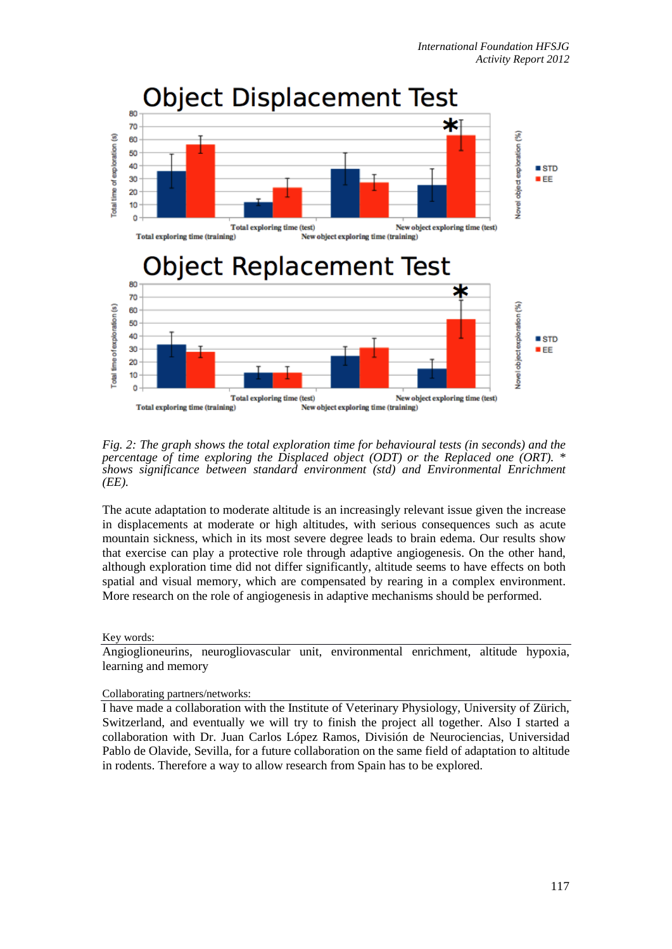

*Fig. 2: The graph shows the total exploration time for behavioural tests (in seconds) and the percentage of time exploring the Displaced object (ODT) or the Replaced one (ORT). \* shows significance between standard environment (std) and Environmental Enrichment (EE).* 

The acute adaptation to moderate altitude is an increasingly relevant issue given the increase in displacements at moderate or high altitudes, with serious consequences such as acute mountain sickness, which in its most severe degree leads to brain edema. Our results show that exercise can play a protective role through adaptive angiogenesis. On the other hand, although exploration time did not differ significantly, altitude seems to have effects on both spatial and visual memory, which are compensated by rearing in a complex environment. More research on the role of angiogenesis in adaptive mechanisms should be performed.

## Key words:

Angioglioneurins, neurogliovascular unit, environmental enrichment, altitude hypoxia, learning and memory

#### Collaborating partners/networks:

I have made a collaboration with the Institute of Veterinary Physiology, University of Zürich, Switzerland, and eventually we will try to finish the project all together. Also I started a collaboration with Dr. Juan Carlos López Ramos, División de Neurociencias, Universidad Pablo de Olavide, Sevilla, for a future collaboration on the same field of adaptation to altitude in rodents. Therefore a way to allow research from Spain has to be explored.